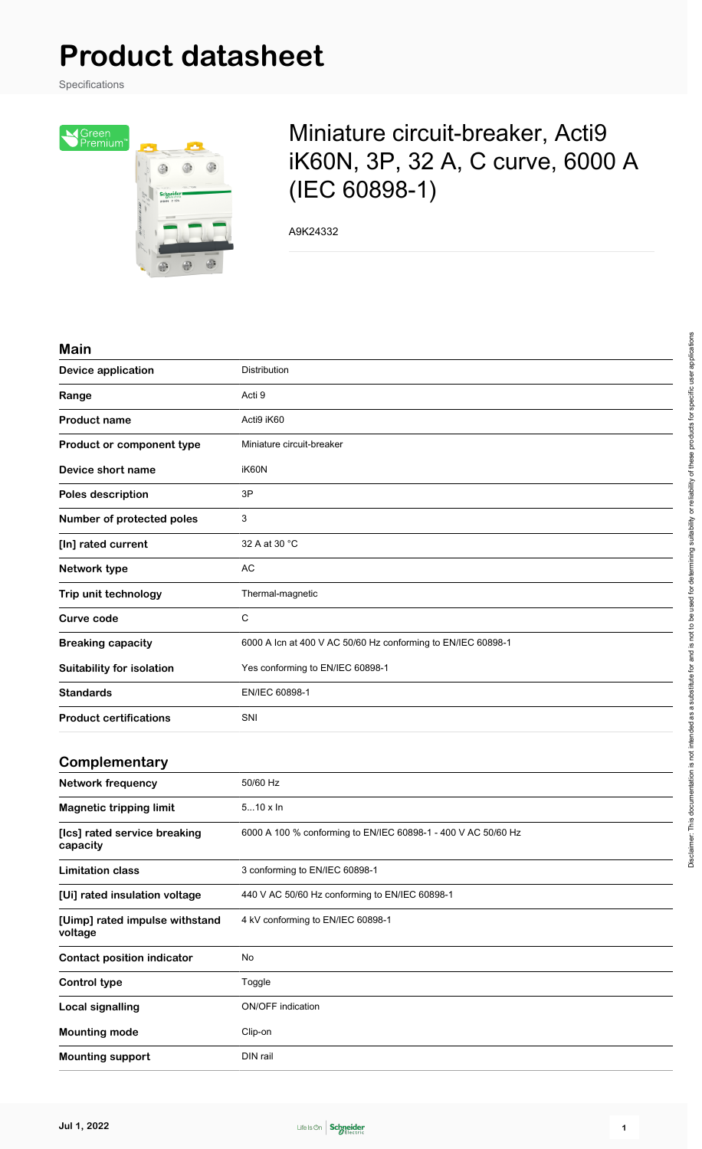# **Product datasheet**

Specifications



# Miniature circuit-breaker, Acti9 iK60N, 3P, 32 A, C curve, 6000 A (IEC 60898-1)

A9K24332

#### **Main**

| <b>Device application</b>        | Distribution                                                 |
|----------------------------------|--------------------------------------------------------------|
| Range                            | Acti 9                                                       |
| <b>Product name</b>              | Acti9 iK60                                                   |
| Product or component type        | Miniature circuit-breaker                                    |
| Device short name                | iK60N                                                        |
| Poles description                | 3P                                                           |
| Number of protected poles        | 3                                                            |
| [In] rated current               | 32 A at 30 °C                                                |
| Network type                     | <b>AC</b>                                                    |
| Trip unit technology             | Thermal-magnetic                                             |
| <b>Curve code</b>                | C                                                            |
| <b>Breaking capacity</b>         | 6000 A Icn at 400 V AC 50/60 Hz conforming to EN/IEC 60898-1 |
| <b>Suitability for isolation</b> | Yes conforming to EN/IEC 60898-1                             |
| <b>Standards</b>                 | EN/IEC 60898-1                                               |
| <b>Product certifications</b>    | SNI                                                          |
|                                  |                                                              |

#### **Complementary**

| <b>Network frequency</b>                  | 50/60 Hz                                                      |
|-------------------------------------------|---------------------------------------------------------------|
| <b>Magnetic tripping limit</b>            | $510 \times \ln$                                              |
| [Ics] rated service breaking<br>capacity  | 6000 A 100 % conforming to EN/IEC 60898-1 - 400 V AC 50/60 Hz |
| <b>Limitation class</b>                   | 3 conforming to EN/IEC 60898-1                                |
| [Ui] rated insulation voltage             | 440 V AC 50/60 Hz conforming to EN/IEC 60898-1                |
| [Uimp] rated impulse withstand<br>voltage | 4 kV conforming to EN/IEC 60898-1                             |
| <b>Contact position indicator</b>         | No                                                            |
| Control type                              | Toggle                                                        |
| Local signalling                          | <b>ON/OFF</b> indication                                      |
| <b>Mounting mode</b>                      | Clip-on                                                       |
| <b>Mounting support</b>                   | DIN rail                                                      |

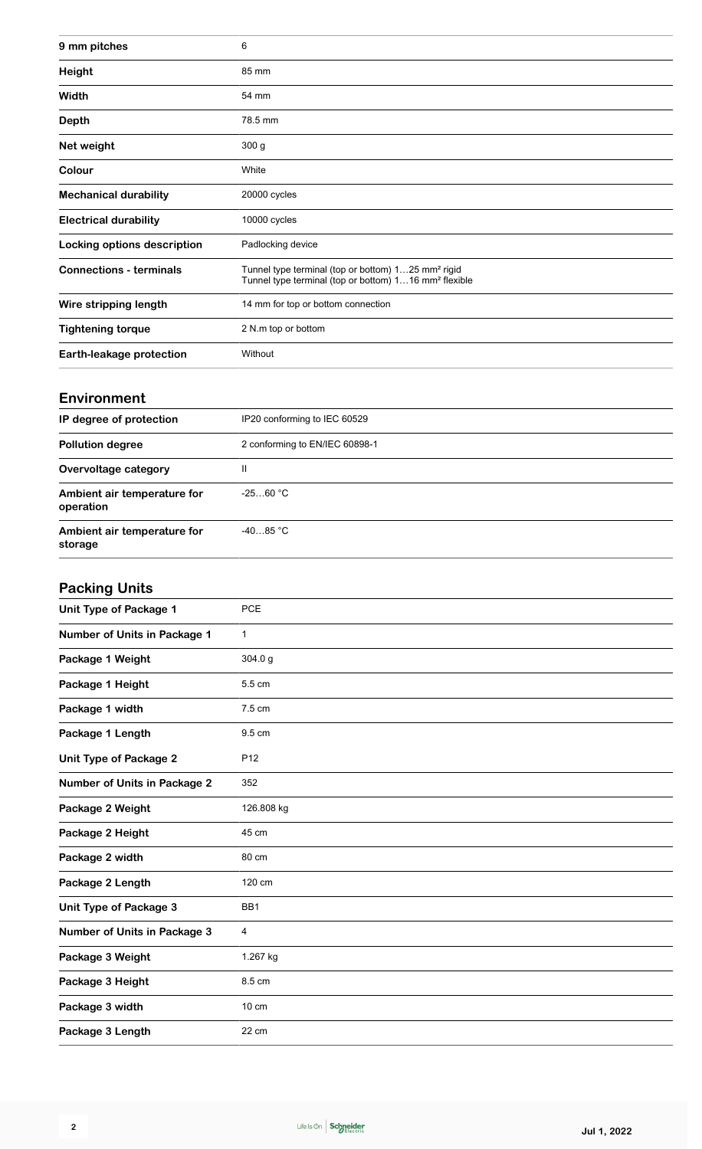| 9 mm pitches                   | 6                                                                                                                                   |
|--------------------------------|-------------------------------------------------------------------------------------------------------------------------------------|
| <b>Height</b>                  | 85 mm                                                                                                                               |
| Width                          | 54 mm                                                                                                                               |
| <b>Depth</b>                   | 78.5 mm                                                                                                                             |
| Net weight                     | 300 <sub>g</sub>                                                                                                                    |
| Colour                         | White                                                                                                                               |
| <b>Mechanical durability</b>   | 20000 cycles                                                                                                                        |
| <b>Electrical durability</b>   | 10000 cycles                                                                                                                        |
| Locking options description    | Padlocking device                                                                                                                   |
| <b>Connections - terminals</b> | Tunnel type terminal (top or bottom) 125 mm <sup>2</sup> rigid<br>Tunnel type terminal (top or bottom) 116 mm <sup>2</sup> flexible |
| Wire stripping length          | 14 mm for top or bottom connection                                                                                                  |
| <b>Tightening torque</b>       | 2 N.m top or bottom                                                                                                                 |
| Earth-leakage protection       | Without                                                                                                                             |

#### **Environment**

| IP degree of protection                  | IP20 conforming to IEC 60529   |
|------------------------------------------|--------------------------------|
| <b>Pollution degree</b>                  | 2 conforming to EN/IEC 60898-1 |
| Overvoltage category                     | Ш                              |
| Ambient air temperature for<br>operation | $-2560 °C$                     |
| Ambient air temperature for<br>storage   | $-4085 °C$                     |

## **Packing Units**

| <b>PCE</b>      |
|-----------------|
| $\mathbf{1}$    |
| 304.0 g         |
| 5.5 cm          |
| 7.5 cm          |
| 9.5 cm          |
| P <sub>12</sub> |
| 352             |
| 126.808 kg      |
| 45 cm           |
| 80 cm           |
| 120 cm          |
| BB1             |
| 4               |
| 1.267 kg        |
| 8.5 cm          |
| 10 cm           |
| 22 cm           |
|                 |